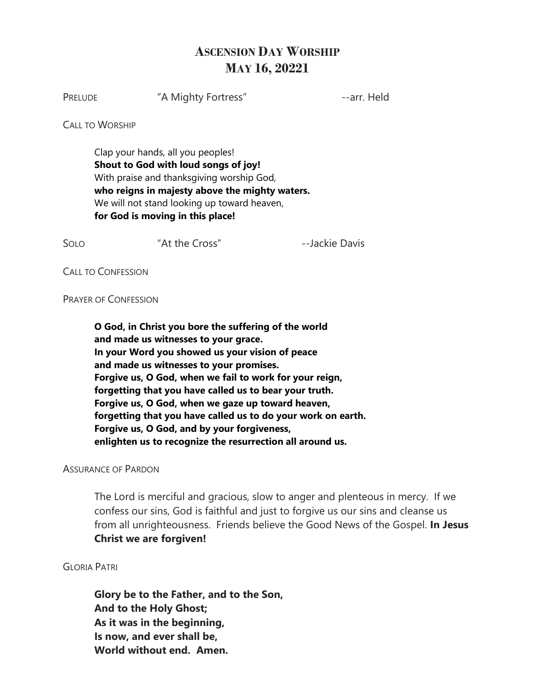## **ASCENSION DAY WORSHIP MAY 16, 20221**

PRELUDE "A Mighty Fortress" --arr. Held

**CALL TO WORSHIP** 

Clap your hands, all you peoples! **Shout to God with loud songs of joy!**  With praise and thanksgiving worship God, **who reigns in majesty above the mighty waters.**  We will not stand looking up toward heaven, **for God is moving in this place!**

SOLO "At the Cross" --Jackie Davis

CALL TO CONFESSION

PRAYER OF CONFESSION

**O God, in Christ you bore the suffering of the world and made us witnesses to your grace. In your Word you showed us your vision of peace and made us witnesses to your promises. Forgive us, O God, when we fail to work for your reign, forgetting that you have called us to bear your truth. Forgive us, O God, when we gaze up toward heaven, forgetting that you have called us to do your work on earth. Forgive us, O God, and by your forgiveness, enlighten us to recognize the resurrection all around us.**

ASSURANCE OF PARDON

The Lord is merciful and gracious, slow to anger and plenteous in mercy. If we confess our sins, God is faithful and just to forgive us our sins and cleanse us from all unrighteousness. Friends believe the Good News of the Gospel. **In Jesus Christ we are forgiven!**

GLORIA PATRI

**Glory be to the Father, and to the Son, And to the Holy Ghost; As it was in the beginning, Is now, and ever shall be, World without end. Amen.**